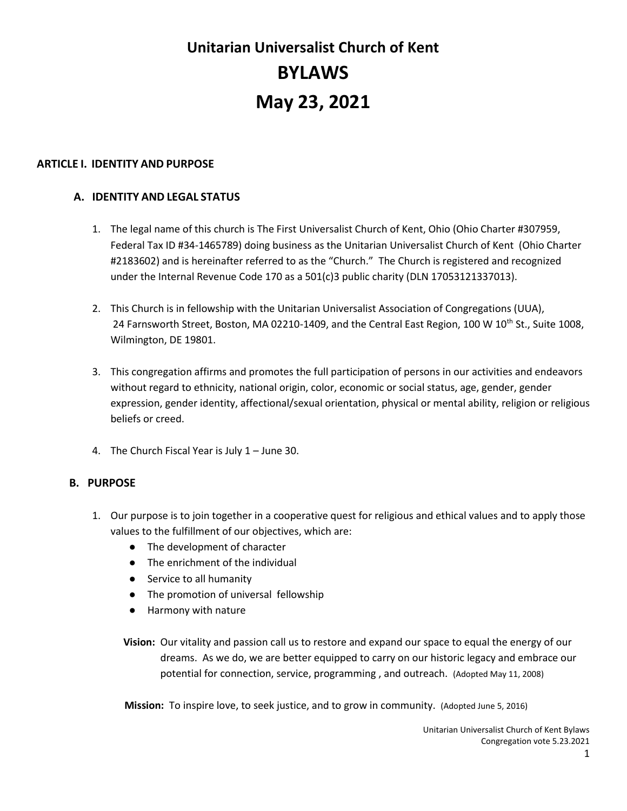# **Unitarian Universalist Church of Kent BYLAWS May 23, 2021**

## **ARTICLE I. IDENTITY AND PURPOSE**

# **A. IDENTITY AND LEGAL STATUS**

- 1. The legal name of this church is The First Universalist Church of Kent, Ohio (Ohio Charter #307959, Federal Tax ID #34-1465789) doing business as the Unitarian Universalist Church of Kent (Ohio Charter #2183602) and is hereinafter referred to as the "Church." The Church is registered and recognized under the Internal Revenue Code 170 as a 501(c)3 public charity (DLN 17053121337013).
- 2. This Church is in fellowship with the Unitarian Universalist Association of Congregations (UUA), 24 Farnsworth Street, Boston, MA 02210-1409, and the Central East Region, 100 W 10<sup>th</sup> St., Suite 1008, Wilmington, DE 19801.
- 3. This congregation affirms and promotes the full participation of persons in our activities and endeavors without regard to ethnicity, national origin, color, economic or social status, age, gender, gender expression, gender identity, affectional/sexual orientation, physical or mental ability, religion or religious beliefs or creed.
- 4. The Church Fiscal Year is July 1 June 30.

# **B. PURPOSE**

- 1. Our purpose is to join together in a cooperative quest for religious and ethical values and to apply those values to the fulfillment of our objectives, which are:
	- The development of character
	- The enrichment of the individual
	- Service to all humanity
	- The promotion of universal fellowship
	- Harmony with nature
	- **Vision:** Our vitality and passion call us to restore and expand our space to equal the energy of our dreams. As we do, we are better equipped to carry on our historic legacy and embrace our potential for connection, service, programming , and outreach. (Adopted May 11, 2008)

**Mission:** To inspire love, to seek justice, and to grow in community. (Adopted June 5, 2016)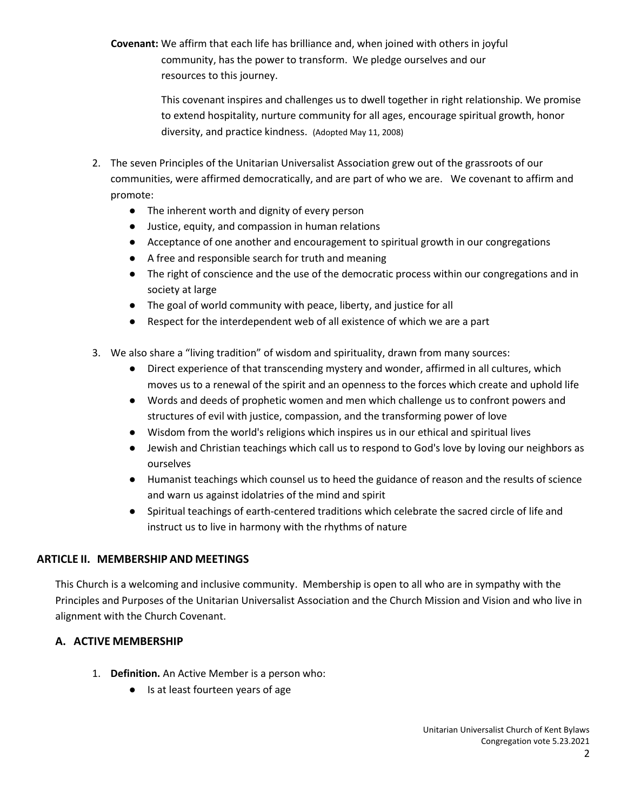**Covenant:** We affirm that each life has brilliance and, when joined with others in joyful community, has the power to transform. We pledge ourselves and our resources to this journey.

> This covenant inspires and challenges us to dwell together in right relationship. We promise to extend hospitality, nurture community for all ages, encourage spiritual growth, honor diversity, and practice kindness. (Adopted May 11, 2008)

- 2. The seven Principles of the Unitarian Universalist Association grew out of the grassroots of our communities, were affirmed democratically, and are part of who we are. We covenant to affirm and promote:
	- The inherent worth and dignity of every person
	- Justice, equity, and compassion in human relations
	- Acceptance of one another and encouragement to spiritual growth in our congregations
	- A free and responsible search for truth and meaning
	- The right of conscience and the use of the democratic process within our congregations and in society at large
	- The goal of world community with peace, liberty, and justice for all
	- Respect for the interdependent web of all existence of which we are a part
- 3. We also share a "living tradition" of wisdom and spirituality, drawn from many sources:
	- Direct experience of that transcending mystery and wonder, affirmed in all cultures, which moves us to a renewal of the spirit and an openness to the forces which create and uphold life
	- Words and deeds of prophetic women and men which challenge us to confront powers and structures of evil with justice, compassion, and the transforming power of love
	- Wisdom from the world's religions which inspires us in our ethical and spiritual lives
	- Jewish and Christian teachings which call us to respond to God's love by loving our neighbors as ourselves
	- Humanist teachings which counsel us to heed the guidance of reason and the results of science and warn us against idolatries of the mind and spirit
	- Spiritual teachings of earth-centered traditions which celebrate the sacred circle of life and instruct us to live in harmony with the rhythms of nature

# **ARTICLE II. MEMBERSHIP AND MEETINGS**

This Church is a welcoming and inclusive community. Membership is open to all who are in sympathy with the Principles and Purposes of the Unitarian Universalist Association and the Church Mission and Vision and who live in alignment with the Church Covenant.

# **A. ACTIVE MEMBERSHIP**

- 1. **Definition.** An Active Member is a person who:
	- Is at least fourteen years of age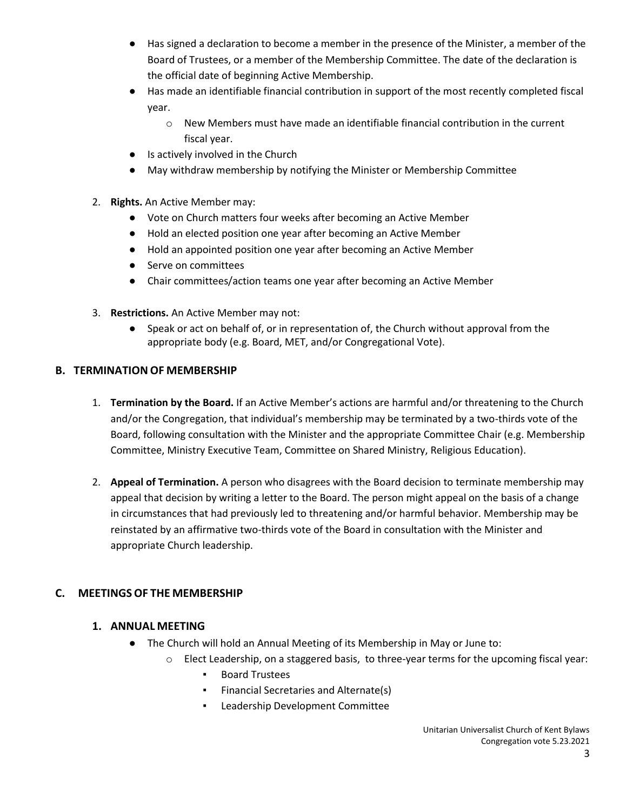- Has signed a declaration to become a member in the presence of the Minister, a member of the Board of Trustees, or a member of the Membership Committee. The date of the declaration is the official date of beginning Active Membership.
- Has made an identifiable financial contribution in support of the most recently completed fiscal year.
	- o New Members must have made an identifiable financial contribution in the current fiscal year.
- Is actively involved in the Church
- May withdraw membership by notifying the Minister or Membership Committee
- 2. **Rights.** An Active Member may:
	- Vote on Church matters four weeks after becoming an Active Member
	- Hold an elected position one year after becoming an Active Member
	- Hold an appointed position one year after becoming an Active Member
	- Serve on committees
	- Chair committees/action teams one year after becoming an Active Member
- 3. **Restrictions.** An Active Member may not:
	- Speak or act on behalf of, or in representation of, the Church without approval from the appropriate body (e.g. Board, MET, and/or Congregational Vote).

# **B. TERMINATION OF MEMBERSHIP**

- 1. **Termination by the Board.** If an Active Member's actions are harmful and/or threatening to the Church and/or the Congregation, that individual's membership may be terminated by a two-thirds vote of the Board, following consultation with the Minister and the appropriate Committee Chair (e.g. Membership Committee, Ministry Executive Team, Committee on Shared Ministry, Religious Education).
- 2. **Appeal of Termination.** A person who disagrees with the Board decision to terminate membership may appeal that decision by writing a letter to the Board. The person might appeal on the basis of a change in circumstances that had previously led to threatening and/or harmful behavior. Membership may be reinstated by an affirmative two-thirds vote of the Board in consultation with the Minister and appropriate Church leadership.

# **C. MEETINGS OF THE MEMBERSHIP**

# **1. ANNUAL MEETING**

- The Church will hold an Annual Meeting of its Membership in May or June to:
	- o Elect Leadership, on a staggered basis, to three-year terms for the upcoming fiscal year:
		- Board Trustees
		- Financial Secretaries and Alternate(s)
		- Leadership Development Committee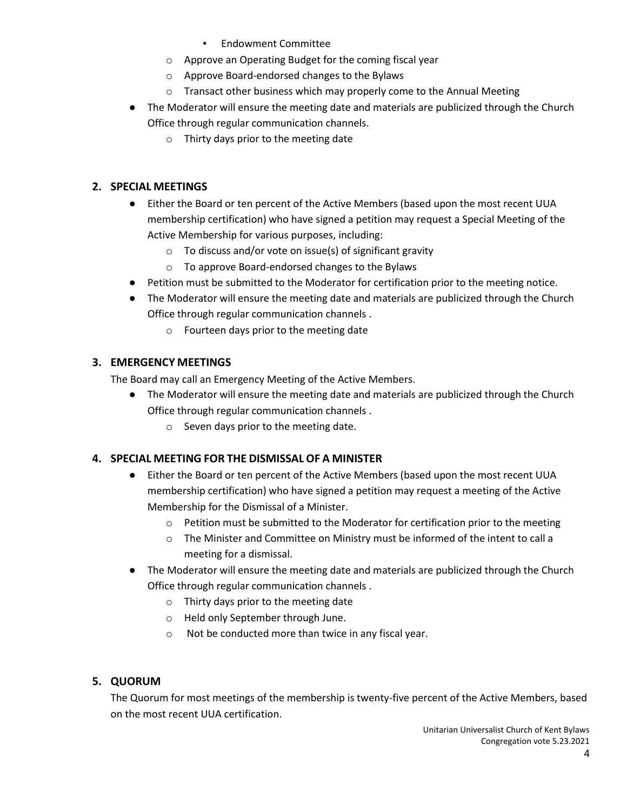- Endowment Committee
- o Approve an Operating Budget for the coming fiscal year
- o Approve Board-endorsed changes to the Bylaws
- o Transact other business which may properly come to the Annual Meeting
- The Moderator will ensure the meeting date and materials are publicized through the Church Office through regular communication channels.
	- o Thirty days prior to the meeting date

## **2. SPECIAL MEETINGS**

- Either the Board or ten percent of the Active Members (based upon the most recent UUA membership certification) who have signed a petition may request a Special Meeting of the Active Membership for various purposes, including:
	- $\circ$  To discuss and/or vote on issue(s) of significant gravity
	- o To approve Board-endorsed changes to the Bylaws
- Petition must be submitted to the Moderator for certification prior to the meeting notice.
- The Moderator will ensure the meeting date and materials are publicized through the Church Office through regular communication channels .
	- o Fourteen days prior to the meeting date

# **3. EMERGENCY MEETINGS**

The Board may call an Emergency Meeting of the Active Members.

- The Moderator will ensure the meeting date and materials are publicized through the Church Office through regular communication channels .
	- o Seven days prior to the meeting date.

# <span id="page-3-0"></span>**4. SPECIAL MEETING FOR THE DISMISSAL OF A MINISTER**

- Either the Board or ten percent of the Active Members (based upon the most recent UUA membership certification) who have signed a petition may request a meeting of the Active Membership for the Dismissal of a Minister.
	- o Petition must be submitted to the Moderator for certification prior to the meeting
	- o The Minister and Committee on Ministry must be informed of the intent to call a meeting for a dismissal.
- The Moderator will ensure the meeting date and materials are publicized through the Church Office through regular communication channels .
	- o Thirty days prior to the meeting date
	- o Held only September through June.
	- o Not be conducted more than twice in any fiscal year.

# **5. QUORUM**

The Quorum for most meetings of the membership is twenty-five percent of the Active Members, based on the most recent UUA certification.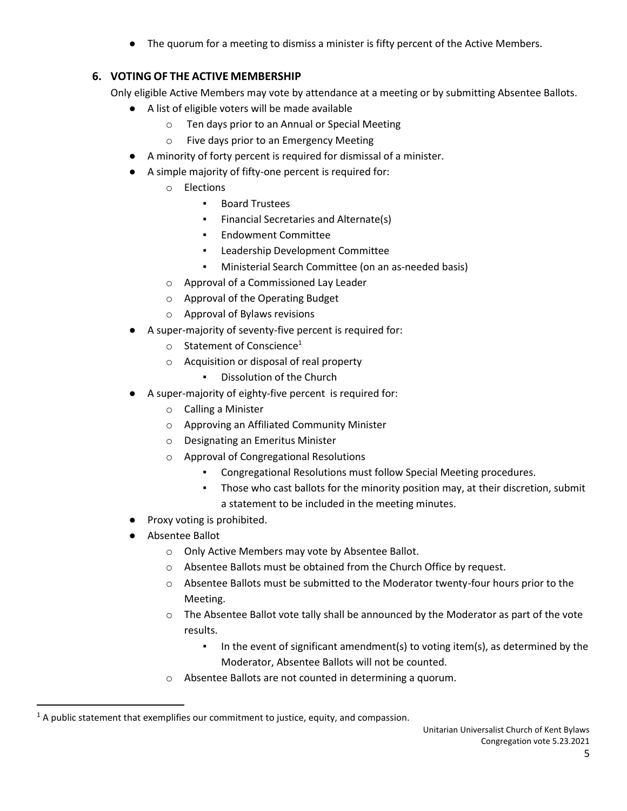The quorum for a meeting to dismiss a minister is fifty percent of the Active Members.

# **6. VOTING OF THE ACTIVE MEMBERSHIP**

Only eligible Active Members may vote by attendance at a meeting or by submitting Absentee Ballots.

- A list of eligible voters will be made available
	- o Ten days prior to an Annual or Special Meeting
	- o Five days prior to an Emergency Meeting
- A minority of forty percent is required for dismissal of a minister.
- A simple majority of fifty-one percent is required for:
	- o Elections
		- Board Trustees
		- Financial Secretaries and Alternate(s)
		- Endowment Committee
		- Leadership Development Committee
		- Ministerial Search Committee (on an as-needed basis)
	- o Approval of a Commissioned Lay Leader
	- o Approval of the Operating Budget
	- o Approval of Bylaws revisions
- A super-majority of seventy-five percent is required for:
	- $\circ$  Statement of Conscience<sup>1</sup>
	- o Acquisition or disposal of real property
		- Dissolution of the Church
- A super-majority of eighty-five percent is required for:
	- o Calling a Minister
	- o Approving an Affiliated Community Minister
	- o Designating an Emeritus Minister
	- o Approval of Congregational Resolutions
		- Congregational Resolutions must follow Special Meeting procedures.
		- Those who cast ballots for the minority position may, at their discretion, submit a statement to be included in the meeting minutes.
- Proxy voting is prohibited.
- Absentee Ballot
	- o Only Active Members may vote by Absentee Ballot.
	- o Absentee Ballots must be obtained from the Church Office by request.
	- o Absentee Ballots must be submitted to the Moderator twenty-four hours prior to the Meeting.
	- o The Absentee Ballot vote tally shall be announced by the Moderator as part of the vote results.
		- In the event of significant amendment(s) to voting item(s), as determined by the Moderator, Absentee Ballots will not be counted.
	- o Absentee Ballots are not counted in determining a quorum.

 $1$  A public statement that exemplifies our commitment to justice, equity, and compassion.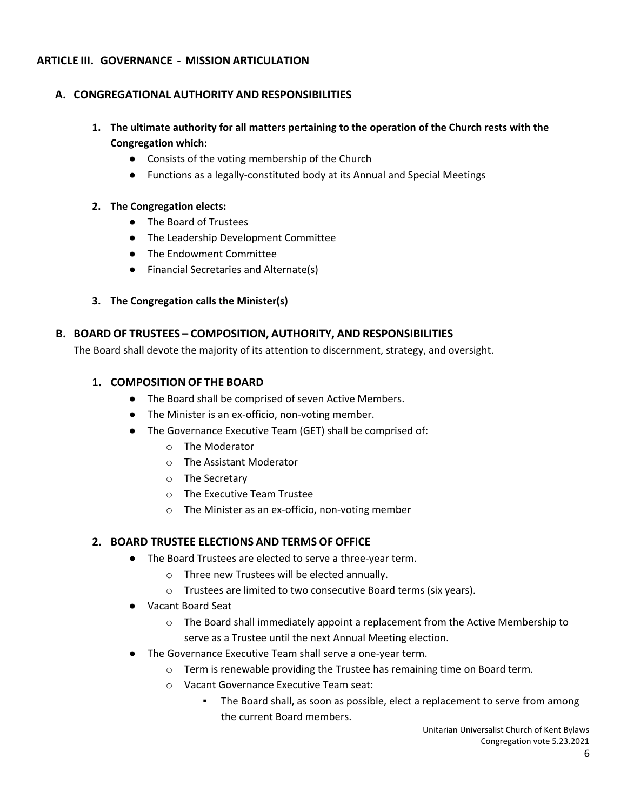## **ARTICLE III. GOVERNANCE - MISSION ARTICULATION**

## **A. CONGREGATIONAL AUTHORITY AND RESPONSIBILITIES**

- **1. The ultimate authority for all matters pertaining to the operation of the Church rests with the Congregation which:**
	- Consists of the voting membership of the Church
	- Functions as a legally-constituted body at its Annual and Special Meetings

#### **2. The Congregation elects:**

- The Board of Trustees
- The Leadership Development Committee
- The Endowment Committee
- Financial Secretaries and Alternate(s)
- **3. The Congregation calls the Minister(s)**

#### **B. BOARD OF TRUSTEES – COMPOSITION, AUTHORITY, AND RESPONSIBILITIES**

The Board shall devote the majority of its attention to discernment, strategy, and oversight.

#### **1. COMPOSITION OF THE BOARD**

- The Board shall be comprised of seven Active Members.
- The Minister is an ex-officio, non-voting member.
- The Governance Executive Team (GET) shall be comprised of:
	- o The Moderator
	- o The Assistant Moderator
	- o The Secretary
	- o The Executive Team Trustee
	- o The Minister as an ex-officio, non-voting member

## **2. BOARD TRUSTEE ELECTIONS AND TERMS OF OFFICE**

- The Board Trustees are elected to serve a three-year term.
	- o Three new Trustees will be elected annually.
	- o Trustees are limited to two consecutive Board terms (six years).
- Vacant Board Seat
	- o The Board shall immediately appoint a replacement from the Active Membership to serve as a Trustee until the next Annual Meeting election.
- The Governance Executive Team shall serve a one-year term.
	- o Term is renewable providing the Trustee has remaining time on Board term.
	- o Vacant Governance Executive Team seat:
		- The Board shall, as soon as possible, elect a replacement to serve from among the current Board members.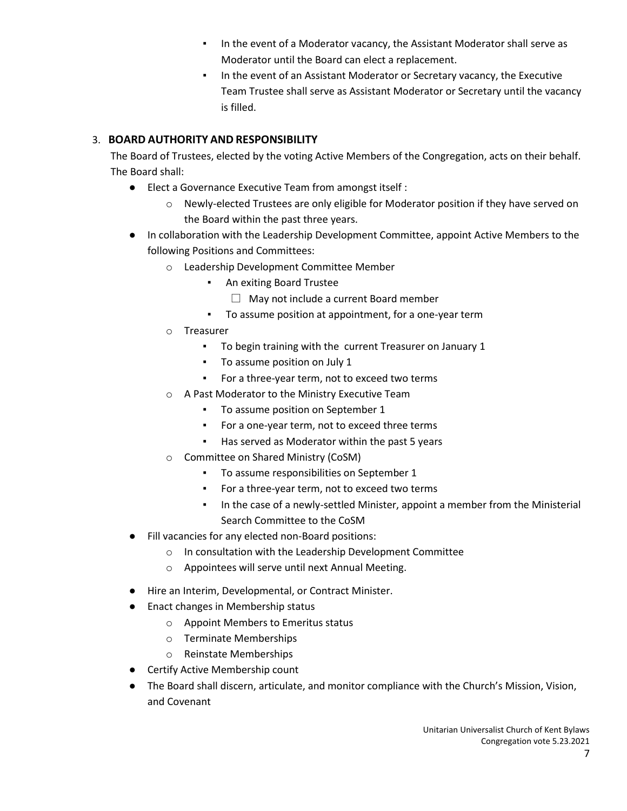- **.** In the event of a Moderator vacancy, the Assistant Moderator shall serve as Moderator until the Board can elect a replacement.
- In the event of an Assistant Moderator or Secretary vacancy, the Executive Team Trustee shall serve as Assistant Moderator or Secretary until the vacancy is filled.

# 3. **BOARD AUTHORITY AND RESPONSIBILITY**

The Board of Trustees, elected by the voting Active Members of the Congregation, acts on their behalf. The Board shall:

- Elect a Governance Executive Team from amongst itself :
	- o Newly-elected Trustees are only eligible for Moderator position if they have served on the Board within the past three years.
- In collaboration with the Leadership Development Committee, appoint Active Members to the following Positions and Committees:
	- o Leadership Development Committee Member
		- An exiting Board Trustee
			- $\Box$  May not include a current Board member
			- To assume position at appointment, for a one-year term
	- o Treasurer
		- To begin training with the current Treasurer on January 1
		- To assume position on July 1
		- For a three-year term, not to exceed two terms
	- o A Past Moderator to the Ministry Executive Team
		- To assume position on September 1
		- For a one-year term, not to exceed three terms
		- Has served as Moderator within the past 5 years
	- o Committee on Shared Ministry (CoSM)
		- To assume responsibilities on September 1
		- For a three-year term, not to exceed two terms
		- In the case of a newly-settled Minister, appoint a member from the Ministerial Search Committee to the CoSM
- Fill vacancies for any elected non-Board positions:
	- o In consultation with the Leadership Development Committee
	- o Appointees will serve until next Annual Meeting.
- Hire an Interim, Developmental, or Contract Minister.
- Enact changes in Membership status
	- o Appoint Members to Emeritus status
	- o Terminate Memberships
	- o Reinstate Memberships
- Certify Active Membership count
- The Board shall discern, articulate, and monitor compliance with the Church's Mission, Vision, and Covenant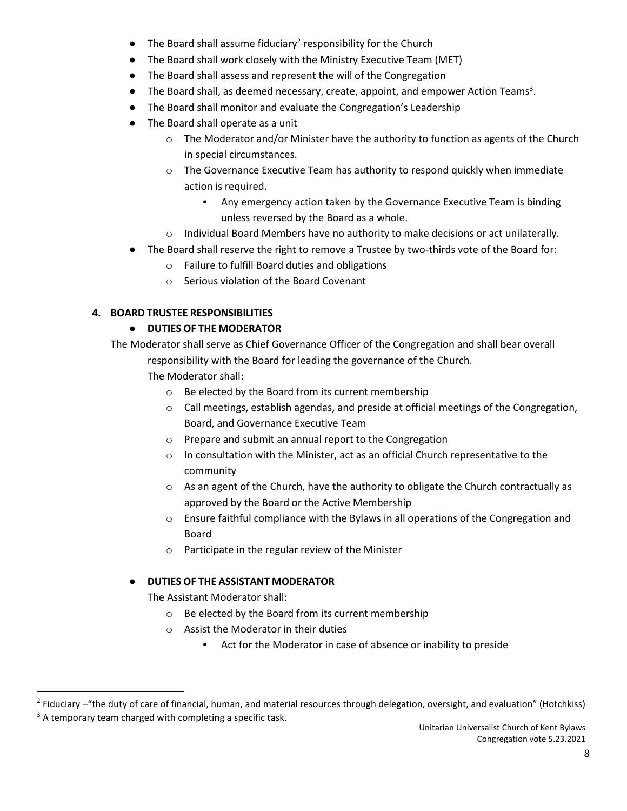- $\bullet$  The Board shall assume fiduciary<sup>2</sup> responsibility for the Church
- The Board shall work closely with the Ministry Executive Team (MET)
- The Board shall assess and represent the will of the Congregation
- The Board shall, as deemed necessary, create, appoint, and empower Action Teams<sup>3</sup>.
- The Board shall monitor and evaluate the Congregation's Leadership
- The Board shall operate as a unit
	- $\circ$  The Moderator and/or Minister have the authority to function as agents of the Church in special circumstances.
	- $\circ$  The Governance Executive Team has authority to respond quickly when immediate action is required.
		- Any emergency action taken by the Governance Executive Team is binding unless reversed by the Board as a whole.
	- $\circ$  Individual Board Members have no authority to make decisions or act unilaterally.
- The Board shall reserve the right to remove a Trustee by two-thirds vote of the Board for:
	- o Failure to fulfill Board duties and obligations
	- o Serious violation of the Board Covenant

## **4. BOARD TRUSTEE RESPONSIBILITIES**

## ● **DUTIES OF THE MODERATOR**

The Moderator shall serve as Chief Governance Officer of the Congregation and shall bear overall responsibility with the Board for leading the governance of the Church.

The Moderator shall:

- o Be elected by the Board from its current membership
- o Call meetings, establish agendas, and preside at official meetings of the Congregation, Board, and Governance Executive Team
- o Prepare and submit an annual report to the Congregation
- $\circ$  In consultation with the Minister, act as an official Church representative to the community
- $\circ$  As an agent of the Church, have the authority to obligate the Church contractually as approved by the Board or the Active Membership
- o Ensure faithful compliance with the Bylaws in all operations of the Congregation and Board
- o Participate in the regular review of the Minister

# ● **DUTIES OF THE ASSISTANT MODERATOR**

The Assistant Moderator shall:

- o Be elected by the Board from its current membership
- o Assist the Moderator in their duties
	- Act for the Moderator in case of absence or inability to preside

<sup>&</sup>lt;sup>2</sup> Fiduciary –"the duty of care of financial, human, and material resources through delegation, oversight, and evaluation" (Hotchkiss)

 $3$  A temporary team charged with completing a specific task.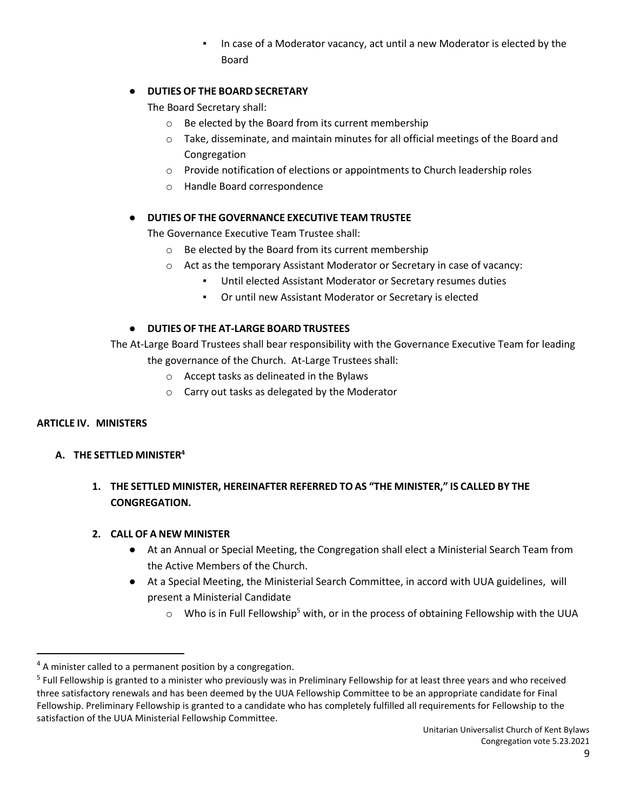**.** In case of a Moderator vacancy, act until a new Moderator is elected by the Board

## ● **DUTIES OF THE BOARD SECRETARY**

The Board Secretary shall:

- o Be elected by the Board from its current membership
- $\circ$  Take, disseminate, and maintain minutes for all official meetings of the Board and Congregation
- o Provide notification of elections or appointments to Church leadership roles
- o Handle Board correspondence

#### ● **DUTIES OF THE GOVERNANCE EXECUTIVE TEAM TRUSTEE**

The Governance Executive Team Trustee shall:

- o Be elected by the Board from its current membership
- o Act as the temporary Assistant Moderator or Secretary in case of vacancy:
	- Until elected Assistant Moderator or Secretary resumes duties
	- Or until new Assistant Moderator or Secretary is elected

#### ● **DUTIES OF THE AT-LARGE BOARD TRUSTEES**

The At-Large Board Trustees shall bear responsibility with the Governance Executive Team for leading the governance of the Church. At-Large Trustees shall:

- o Accept tasks as delineated in the Bylaws
- o Carry out tasks as delegated by the Moderator

#### **ARTICLE IV. MINISTERS**

#### **A. THE SETTLED MINISTER<sup>4</sup>**

**1. THE SETTLED MINISTER, HEREINAFTER REFERRED TO AS "THE MINISTER," IS CALLED BY THE CONGREGATION.**

#### **2. CALL OF A NEW MINISTER**

- At an Annual or Special Meeting, the Congregation shall elect a Ministerial Search Team from the Active Members of the Church.
- At a Special Meeting, the Ministerial Search Committee, in accord with UUA guidelines, will present a Ministerial Candidate
	- $\circ$  Who is in Full Fellowship<sup>5</sup> with, or in the process of obtaining Fellowship with the UUA

 $4$  A minister called to a permanent position by a congregation.

<sup>&</sup>lt;sup>5</sup> Full Fellowship is granted to a minister who previously was in Preliminary Fellowship for at least three years and who received three satisfactory renewals and has been deemed by the UUA Fellowship Committee to be an appropriate candidate for Final Fellowship. Preliminary Fellowship is granted to a candidate who has completely fulfilled all requirements for Fellowship to the satisfaction of the UUA Ministerial Fellowship Committee.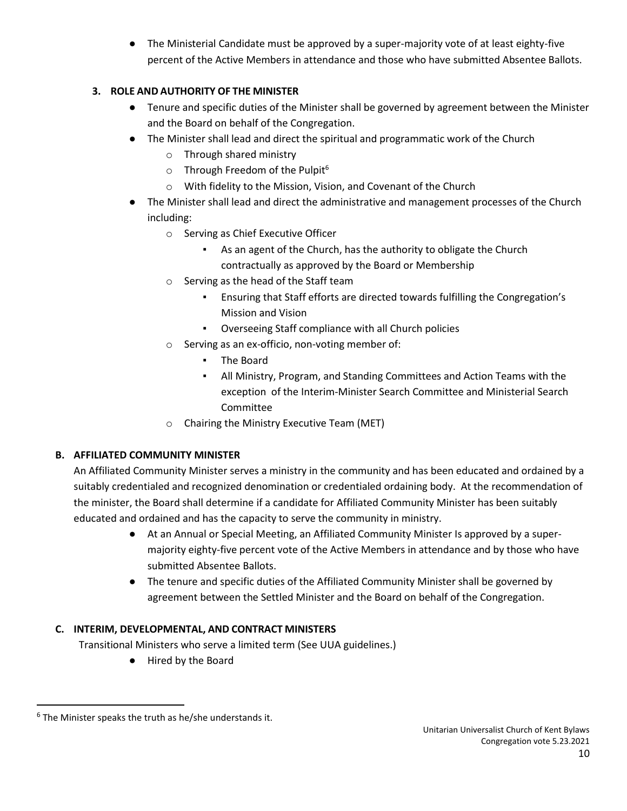● The Ministerial Candidate must be approved by a super-majority vote of at least eighty-five percent of the Active Members in attendance and those who have submitted Absentee Ballots.

# **3. ROLE AND AUTHORITY OF THE MINISTER**

- Tenure and specific duties of the Minister shall be governed by agreement between the Minister and the Board on behalf of the Congregation.
- The Minister shall lead and direct the spiritual and programmatic work of the Church
	- o Through shared ministry
	- $\circ$  Through Freedom of the Pulpit<sup>6</sup>
	- o With fidelity to the Mission, Vision, and Covenant of the Church
- The Minister shall lead and direct the administrative and management processes of the Church including:
	- o Serving as Chief Executive Officer
		- As an agent of the Church, has the authority to obligate the Church contractually as approved by the Board or Membership
	- o Serving as the head of the Staff team
		- Ensuring that Staff efforts are directed towards fulfilling the Congregation's Mission and Vision
		- Overseeing Staff compliance with all Church policies
	- o Serving as an ex-officio, non-voting member of:
		- The Board
		- All Ministry, Program, and Standing Committees and Action Teams with the exception of the Interim-Minister Search Committee and Ministerial Search Committee
	- o Chairing the Ministry Executive Team (MET)

# **B. AFFILIATED COMMUNITY MINISTER**

An Affiliated Community Minister serves a ministry in the community and has been educated and ordained by a suitably credentialed and recognized denomination or credentialed ordaining body. At the recommendation of the minister, the Board shall determine if a candidate for Affiliated Community Minister has been suitably educated and ordained and has the capacity to serve the community in ministry.

- At an Annual or Special Meeting, an Affiliated Community Minister Is approved by a supermajority eighty-five percent vote of the Active Members in attendance and by those who have submitted Absentee Ballots.
- The tenure and specific duties of the Affiliated Community Minister shall be governed by agreement between the Settled Minister and the Board on behalf of the Congregation.

# **C. INTERIM, DEVELOPMENTAL, AND CONTRACT MINISTERS**

Transitional Ministers who serve a limited term (See UUA guidelines.)

● Hired by the Board

 $<sup>6</sup>$  The Minister speaks the truth as he/she understands it.</sup>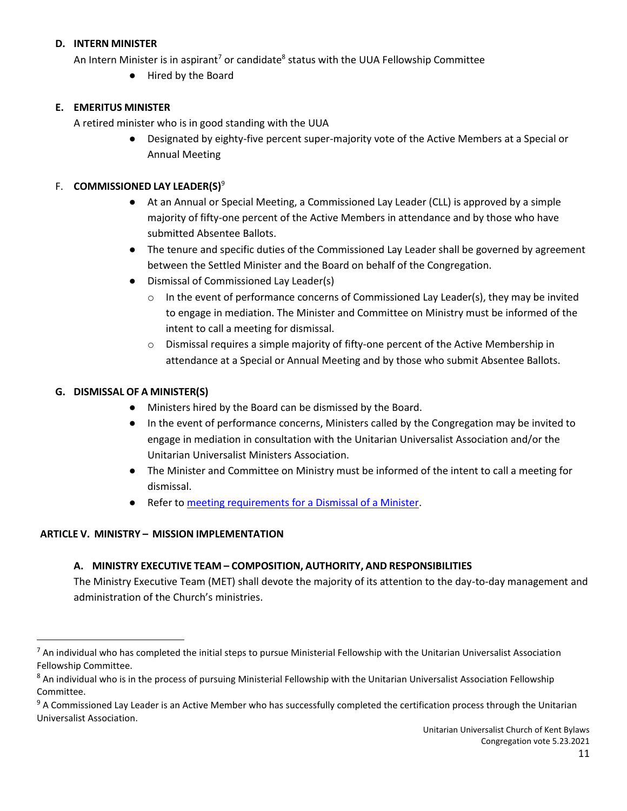## **D. INTERN MINISTER**

An Intern Minister is in aspirant<sup>7</sup> or candidate<sup>8</sup> status with the UUA Fellowship Committee

● Hired by the Board

## **E. EMERITUS MINISTER**

A retired minister who is in good standing with the UUA

Designated by eighty-five percent super-majority vote of the Active Members at a Special or Annual Meeting

#### F. **COMMISSIONED LAY LEADER(S)**<sup>9</sup>

- At an Annual or Special Meeting, a Commissioned Lay Leader (CLL) is approved by a simple majority of fifty-one percent of the Active Members in attendance and by those who have submitted Absentee Ballots.
- The tenure and specific duties of the Commissioned Lay Leader shall be governed by agreement between the Settled Minister and the Board on behalf of the Congregation.
- Dismissal of Commissioned Lay Leader(s)
	- $\circ$  In the event of performance concerns of Commissioned Lay Leader(s), they may be invited to engage in mediation. The Minister and Committee on Ministry must be informed of the intent to call a meeting for dismissal.
	- $\circ$  Dismissal requires a simple majority of fifty-one percent of the Active Membership in attendance at a Special or Annual Meeting and by those who submit Absentee Ballots.

#### **G. DISMISSAL OF A MINISTER(S)**

- Ministers hired by the Board can be dismissed by the Board.
- In the event of performance concerns, Ministers called by the Congregation may be invited to engage in mediation in consultation with the Unitarian Universalist Association and/or the Unitarian Universalist Ministers Association.
- The Minister and Committee on Ministry must be informed of the intent to call a meeting for dismissal.
- Refer t[o meeting requirements for a Dismissal of a Minister.](#page-3-0)

#### **ARTICLE V. MINISTRY – MISSION IMPLEMENTATION**

## **A. MINISTRY EXECUTIVE TEAM – COMPOSITION, AUTHORITY, AND RESPONSIBILITIES**

The Ministry Executive Team (MET) shall devote the majority of its attention to the day-to-day management and administration of the Church's ministries.

 $^7$  An individual who has completed the initial steps to pursue Ministerial Fellowship with the Unitarian Universalist Association Fellowship Committee.

<sup>&</sup>lt;sup>8</sup> An individual who is in the process of pursuing Ministerial Fellowship with the Unitarian Universalist Association Fellowship Committee.

<sup>&</sup>lt;sup>9</sup> A Commissioned Lay Leader is an Active Member who has successfully completed the certification process through the Unitarian Universalist Association.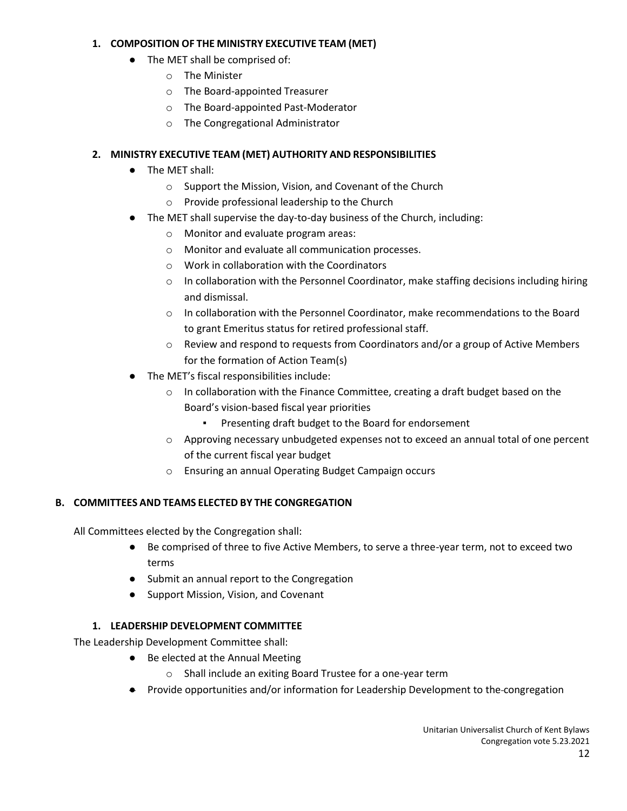## **1. COMPOSITION OF THE MINISTRY EXECUTIVE TEAM (MET)**

- The MET shall be comprised of:
	- o The Minister
	- o The Board-appointed Treasurer
	- o The Board-appointed Past-Moderator
	- o The Congregational Administrator

# **2. MINISTRY EXECUTIVE TEAM (MET) AUTHORITY AND RESPONSIBILITIES**

- The MET shall:
	- o Support the Mission, Vision, and Covenant of the Church
	- o Provide professional leadership to the Church
- The MET shall supervise the day-to-day business of the Church, including:
	- o Monitor and evaluate program areas:
	- o Monitor and evaluate all communication processes.
	- o Work in collaboration with the Coordinators
	- $\circ$  In collaboration with the Personnel Coordinator, make staffing decisions including hiring and dismissal.
	- o In collaboration with the Personnel Coordinator, make recommendations to the Board to grant Emeritus status for retired professional staff.
	- $\circ$  Review and respond to requests from Coordinators and/or a group of Active Members for the formation of Action Team(s)
- The MET's fiscal responsibilities include:
	- $\circ$  In collaboration with the Finance Committee, creating a draft budget based on the Board's vision-based fiscal year priorities
		- Presenting draft budget to the Board for endorsement
	- o Approving necessary unbudgeted expenses not to exceed an annual total of one percent of the current fiscal year budget
	- o Ensuring an annual Operating Budget Campaign occurs

# **B. COMMITTEES AND TEAMS ELECTED BY THE CONGREGATION**

All Committees elected by the Congregation shall:

- Be comprised of three to five Active Members, to serve a three-year term, not to exceed two terms
- Submit an annual report to the Congregation
- Support Mission, Vision, and Covenant

# **1. LEADERSHIP DEVELOPMENT COMMITTEE**

The Leadership Development Committee shall:

- Be elected at the Annual Meeting
	- o Shall include an exiting Board Trustee for a one-year term
- Provide opportunities and/or information for Leadership Development to the congregation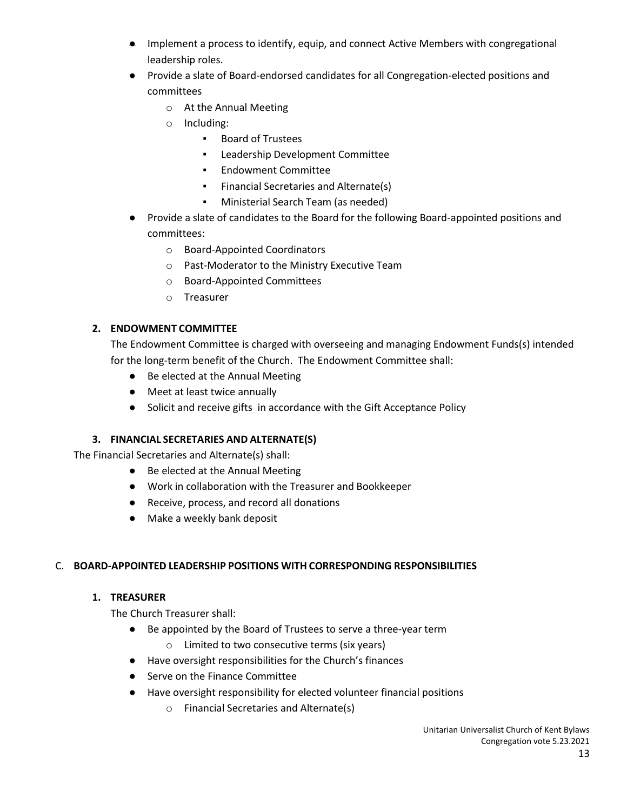- Implement a process to identify, equip, and connect Active Members with congregational leadership roles.
- Provide a slate of Board-endorsed candidates for all Congregation-elected positions and committees
	- o At the Annual Meeting
	- o Including:
		- Board of Trustees
		- Leadership Development Committee
		- Endowment Committee
		- Financial Secretaries and Alternate(s)
		- Ministerial Search Team (as needed)
- Provide a slate of candidates to the Board for the following Board-appointed positions and committees:
	- o Board-Appointed Coordinators
	- o Past-Moderator to the Ministry Executive Team
	- o Board-Appointed Committees
	- o Treasurer

# **2. ENDOWMENT COMMITTEE**

The Endowment Committee is charged with overseeing and managing Endowment Funds(s) intended for the long-term benefit of the Church. The Endowment Committee shall:

- Be elected at the Annual Meeting
- Meet at least twice annually
- Solicit and receive gifts in accordance with the Gift Acceptance Policy

# **3. FINANCIAL SECRETARIES AND ALTERNATE(S)**

The Financial Secretaries and Alternate(s) shall:

- Be elected at the Annual Meeting
- Work in collaboration with the Treasurer and Bookkeeper
- Receive, process, and record all donations
- Make a weekly bank deposit

# C. **BOARD-APPOINTED LEADERSHIP POSITIONS WITH CORRESPONDING RESPONSIBILITIES**

# **1. TREASURER**

The Church Treasurer shall:

- Be appointed by the Board of Trustees to serve a three-year term
	- o Limited to two consecutive terms (six years)
- Have oversight responsibilities for the Church's finances
- Serve on the Finance Committee
- Have oversight responsibility for elected volunteer financial positions
	- o Financial Secretaries and Alternate(s)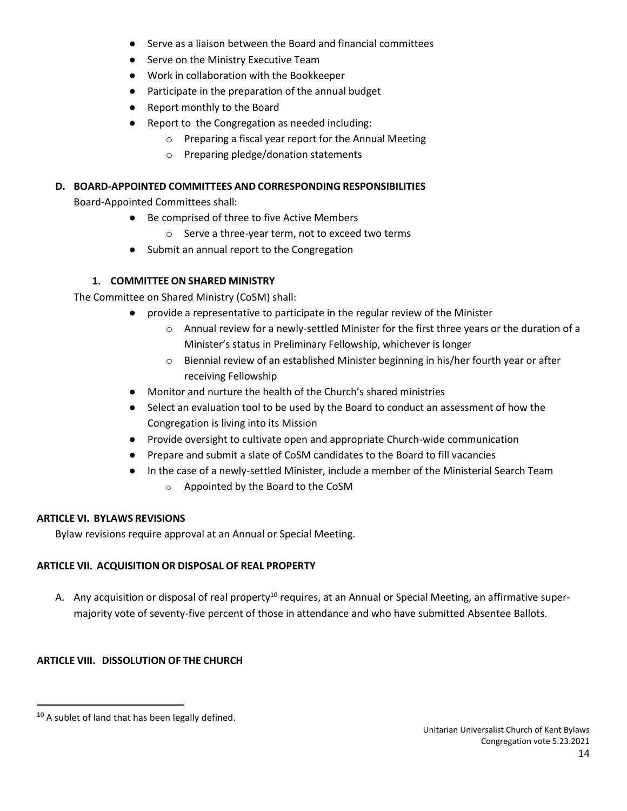- Serve as a liaison between the Board and financial committees
- Serve on the Ministry Executive Team
- Work in collaboration with the Bookkeeper
- Participate in the preparation of the annual budget
- Report monthly to the Board
- Report to the Congregation as needed including:
	- o Preparing a fiscal year report for the Annual Meeting
	- o Preparing pledge/donation statements

## **D. BOARD-APPOINTED COMMITTEES AND CORRESPONDING RESPONSIBILITIES**

Board-Appointed Committees shall:

- Be comprised of three to five Active Members
	- o Serve a three-year term, not to exceed two terms
- Submit an annual report to the Congregation

# **1. COMMITTEE ON SHARED MINISTRY**

The Committee on Shared Ministry (CoSM) shall:

- provide a representative to participate in the regular review of the Minister
	- o Annual review for a newly-settled Minister for the first three years or the duration of a Minister's status in Preliminary Fellowship, whichever is longer
	- o Biennial review of an established Minister beginning in his/her fourth year or after receiving Fellowship
- Monitor and nurture the health of the Church's shared ministries
- Select an evaluation tool to be used by the Board to conduct an assessment of how the Congregation is living into its Mission
- Provide oversight to cultivate open and appropriate Church-wide communication
- Prepare and submit a slate of CoSM candidates to the Board to fill vacancies
- In the case of a newly-settled Minister, include a member of the Ministerial Search Team
	- o Appointed by the Board to the CoSM

## **ARTICLE VI. BYLAWS REVISIONS**

Bylaw revisions require approval at an Annual or Special Meeting.

## **ARTICLE VII. ACQUISITION OR DISPOSAL OF REAL PROPERTY**

A. Any acquisition or disposal of real property<sup>10</sup> requires, at an Annual or Special Meeting, an affirmative supermajority vote of seventy-five percent of those in attendance and who have submitted Absentee Ballots.

# **ARTICLE VIII. DISSOLUTION OF THE CHURCH**

 $10$  A sublet of land that has been legally defined.